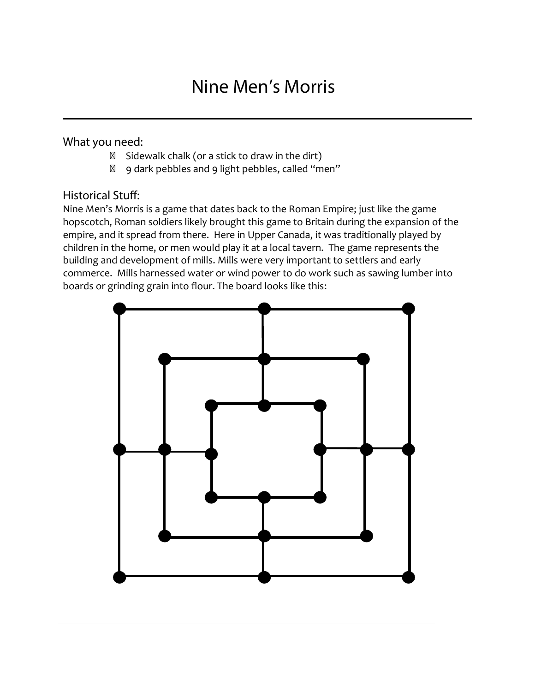## **Nine Men's Morris**

## **What you need:**

Sidewalk chalk (or a stick to draw in the dirt) 9 dark pebbles and 9 light pebbles, called "men"

## **Historical Stuff:**

Nine Men's Morris is a game that dates back to the Roman Empire; just like the game hopscotch, Roman soldiers likely brought this game to Britain during the expansion of the empire, and it spread from there. Here in Upper Canada, it was traditionally played by children in the home, or men would play it at a local tavern. The game represents the building and development of mills. Mills were very important to settlers and early commerce. Mills harnessed water or wind power to do work such as sawing lumber into boards or grinding grain into flour. The board looks like this:

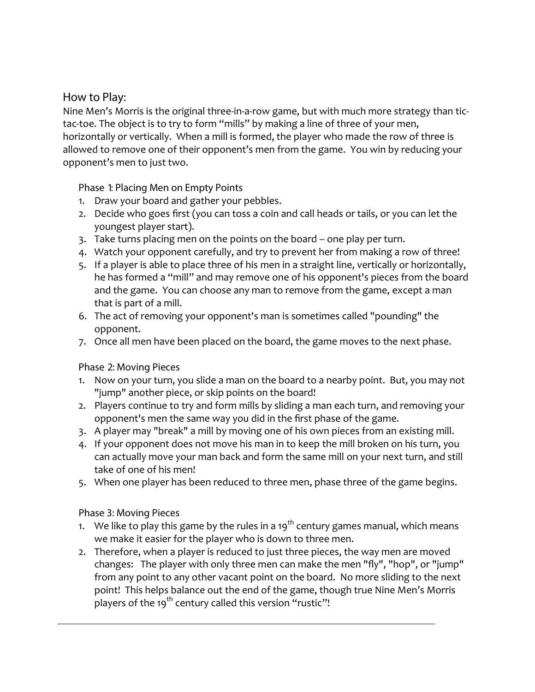## **How to Play:**

Nine Men's Morris is the original three-in-a-row game, but with much more strategy than tictac-toe. The object is to try to form "mills" by making a line of three of your men, horizontally or vertically. When a mill is formed, the player who made the row of three is allowed to remove one of their opponent's men from the game. You win by reducing your opponent's men to just two.

**Phase 1: Placing Men on Empty Points**

- 1. Draw your board and gather your pebbles.
- 2. Decide who goes first (you can toss a coin and call heads or tails, or you can let the youngest player start).
- 3. Take turns placing men on the points on the board one play per turn.
- 4. Watch your opponent carefully, and try to prevent her from making a row of three!
- 5. If a player is able to place three of his men in a straight line, vertically or horizontally, he has formed a "mill" and may remove one of his opponent's pieces from the board and the game. You can choose any man to remove from the game, except a man that is part of a mill.
- 6. The act of removing your opponent's man is sometimes called "pounding" the opponent.
- 7. Once all men have been placed on the board, the game moves to the next phase.

**Phase 2: Moving Pieces**

- 1. Now on your turn, you slide a man on the board to a nearby point. But, you may not "jump" another piece, or skip points on the board!
- 2. Players continue to try and form mills by sliding a man each turn, and removing your opponent's men the same way you did in the first phase of the game.
- 3. A player may "break" a mill by moving one of his own pieces from an existing mill.
- 4. If your opponent does not move his man in to keep the mill broken on his turn, you can actually move your man back and form the same mill on your next turn, and still take of one of his men!
- 5. When one player has been reduced to three men, phase three of the game begins.

**Phase 3: Moving Pieces**

- 1. We like to play this game by the rules in a 19<sup>th</sup> century games manual, which means we make it easier for the player who is down to three men.
- 2. Therefore, when a player is reduced to just three pieces, the way men are moved changes: The player with only three men can make the men "fly", "hop", or "jump" from any point to any other vacant point on the board. No more sliding to the next point! This helps balance out the end of the game, though true Nine Men's Morris players of the 19<sup>th</sup> century called this version "rustic"!